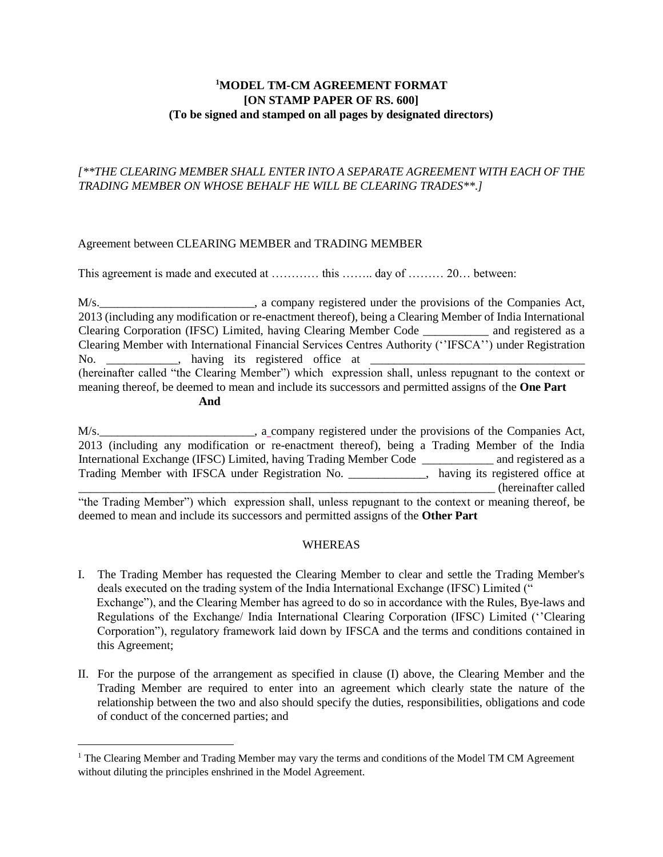# **<sup>1</sup>MODEL TM-CM AGREEMENT FORMAT [ON STAMP PAPER OF RS. 600] (To be signed and stamped on all pages by designated directors)**

# *[\*\*THE CLEARING MEMBER SHALL ENTER INTO A SEPARATE AGREEMENT WITH EACH OF THE TRADING MEMBER ON WHOSE BEHALF HE WILL BE CLEARING TRADES\*\*.]*

# Agreement between CLEARING MEMBER and TRADING MEMBER

This agreement is made and executed at ………… this …….. day of ……… 20… between:

M/s.\_\_\_\_\_\_\_\_\_\_\_\_\_\_\_\_\_\_\_\_\_\_\_\_\_\_, a company registered under the provisions of the Companies Act, 2013 (including any modification or re-enactment thereof), being a Clearing Member of India International Clearing Corporation (IFSC) Limited, having Clearing Member Code \_\_\_\_\_\_\_\_\_\_\_ and registered as a Clearing Member with International Financial Services Centres Authority (''IFSCA'') under Registration No. having its registered office at (hereinafter called "the Clearing Member") which expression shall, unless repugnant to the context or meaning thereof, be deemed to mean and include its successors and permitted assigns of the **One Part And** 

M/s.\_\_\_\_\_\_\_\_\_\_\_\_\_\_\_\_\_\_\_\_\_\_\_\_\_\_, a company registered under the provisions of the Companies Act, 2013 (including any modification or re-enactment thereof), being a Trading Member of the India International Exchange (IFSC) Limited, having Trading Member Code \_\_\_\_\_\_\_\_\_\_\_\_ and registered as a Trading Member with IFSCA under Registration No. \_\_\_\_\_\_\_\_\_\_\_\_\_, having its registered office at \_\_\_\_\_\_\_\_\_\_\_\_\_\_\_\_\_\_\_\_\_\_\_\_\_\_\_\_\_\_\_\_\_\_\_\_\_\_\_\_\_\_\_\_\_\_\_\_\_\_\_\_\_\_\_\_\_\_\_\_\_\_\_\_\_\_\_\_\_\_ (hereinafter called "the Trading Member") which expression shall, unless repugnant to the context or meaning thereof, be deemed to mean and include its successors and permitted assigns of the **Other Part**

## **WHEREAS**

- I. The Trading Member has requested the Clearing Member to clear and settle the Trading Member's deals executed on the trading system of the India International Exchange (IFSC) Limited (" Exchange"), and the Clearing Member has agreed to do so in accordance with the Rules, Bye-laws and Regulations of the Exchange/ India International Clearing Corporation (IFSC) Limited (''Clearing Corporation"), regulatory framework laid down by IFSCA and the terms and conditions contained in this Agreement;
- II. For the purpose of the arrangement as specified in clause (I) above, the Clearing Member and the Trading Member are required to enter into an agreement which clearly state the nature of the relationship between the two and also should specify the duties, responsibilities, obligations and code of conduct of the concerned parties; and

 $\overline{a}$ 

 $<sup>1</sup>$  The Clearing Member and Trading Member may vary the terms and conditions of the Model TM CM Agreement</sup> without diluting the principles enshrined in the Model Agreement.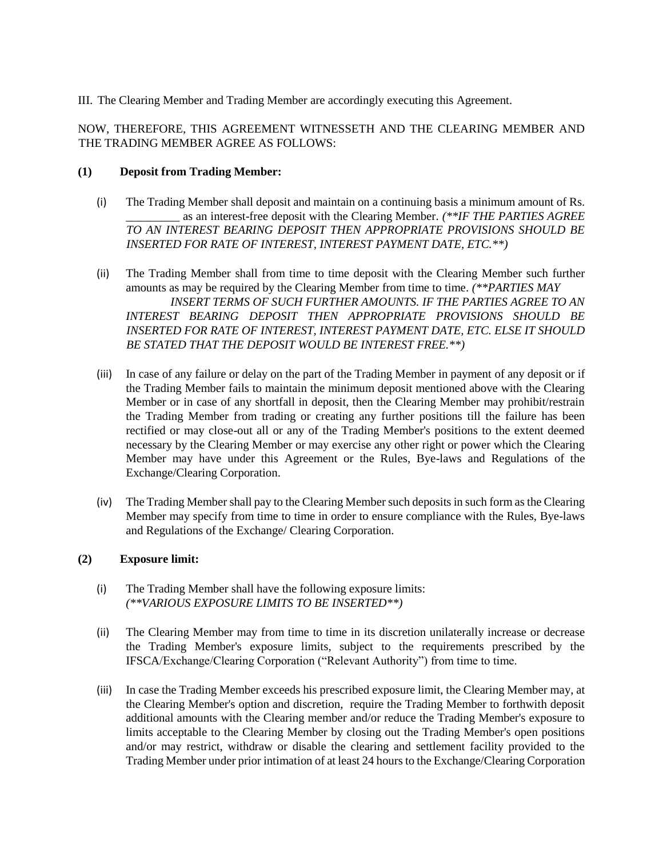III. The Clearing Member and Trading Member are accordingly executing this Agreement.

NOW, THEREFORE, THIS AGREEMENT WITNESSETH AND THE CLEARING MEMBER AND THE TRADING MEMBER AGREE AS FOLLOWS:

## **(1) Deposit from Trading Member:**

- (i) The Trading Member shall deposit and maintain on a continuing basis a minimum amount of Rs. \_\_\_\_\_\_\_\_\_ as an interest-free deposit with the Clearing Member. *(\*\*IF THE PARTIES AGREE TO AN INTEREST BEARING DEPOSIT THEN APPROPRIATE PROVISIONS SHOULD BE INSERTED FOR RATE OF INTEREST, INTEREST PAYMENT DATE, ETC.\*\*)*
- (ii) The Trading Member shall from time to time deposit with the Clearing Member such further amounts as may be required by the Clearing Member from time to time. *(\*\*PARTIES MAY INSERT TERMS OF SUCH FURTHER AMOUNTS. IF THE PARTIES AGREE TO AN INTEREST BEARING DEPOSIT THEN APPROPRIATE PROVISIONS SHOULD BE INSERTED FOR RATE OF INTEREST, INTEREST PAYMENT DATE, ETC. ELSE IT SHOULD BE STATED THAT THE DEPOSIT WOULD BE INTEREST FREE.\*\*)*
- (iii) In case of any failure or delay on the part of the Trading Member in payment of any deposit or if the Trading Member fails to maintain the minimum deposit mentioned above with the Clearing Member or in case of any shortfall in deposit, then the Clearing Member may prohibit/restrain the Trading Member from trading or creating any further positions till the failure has been rectified or may close-out all or any of the Trading Member's positions to the extent deemed necessary by the Clearing Member or may exercise any other right or power which the Clearing Member may have under this Agreement or the Rules, Bye-laws and Regulations of the Exchange/Clearing Corporation.
- (iv) The Trading Member shall pay to the Clearing Member such deposits in such form as the Clearing Member may specify from time to time in order to ensure compliance with the Rules, Bye-laws and Regulations of the Exchange/ Clearing Corporation.

## **(2) Exposure limit:**

- (i) The Trading Member shall have the following exposure limits:  *(\*\*VARIOUS EXPOSURE LIMITS TO BE INSERTED\*\*)*
- (ii) The Clearing Member may from time to time in its discretion unilaterally increase or decrease the Trading Member's exposure limits, subject to the requirements prescribed by the IFSCA/Exchange/Clearing Corporation ("Relevant Authority") from time to time.
- (iii) In case the Trading Member exceeds his prescribed exposure limit, the Clearing Member may, at the Clearing Member's option and discretion, require the Trading Member to forthwith deposit additional amounts with the Clearing member and/or reduce the Trading Member's exposure to limits acceptable to the Clearing Member by closing out the Trading Member's open positions and/or may restrict, withdraw or disable the clearing and settlement facility provided to the Trading Member under prior intimation of at least 24 hours to the Exchange/Clearing Corporation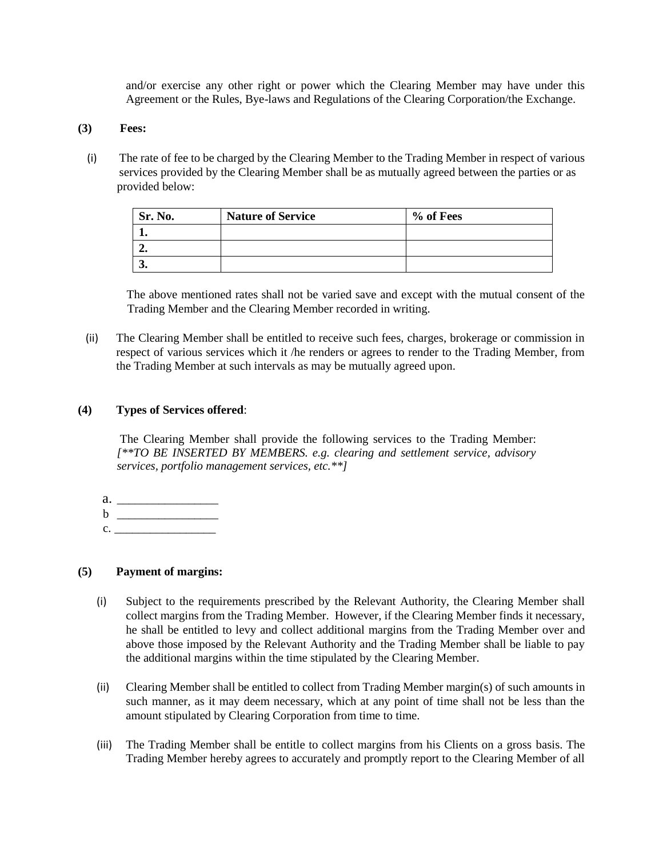and/or exercise any other right or power which the Clearing Member may have under this Agreement or the Rules, Bye-laws and Regulations of the Clearing Corporation/the Exchange.

### **(3) Fees:**

(i) The rate of fee to be charged by the Clearing Member to the Trading Member in respect of various services provided by the Clearing Member shall be as mutually agreed between the parties or as provided below:

| Sr. No. | <b>Nature of Service</b> | % of Fees |
|---------|--------------------------|-----------|
|         |                          |           |
| ۰.      |                          |           |
| J.      |                          |           |

The above mentioned rates shall not be varied save and except with the mutual consent of the Trading Member and the Clearing Member recorded in writing.

(ii) The Clearing Member shall be entitled to receive such fees, charges, brokerage or commission in respect of various services which it /he renders or agrees to render to the Trading Member, from the Trading Member at such intervals as may be mutually agreed upon.

## **(4) Types of Services offered**:

The Clearing Member shall provide the following services to the Trading Member: *[\*\*TO BE INSERTED BY MEMBERS. e.g. clearing and settlement service, advisory services, portfolio management services, etc.\*\*]* 

- a.  $\frac{1}{\sqrt{1-\frac{1}{2}}\sqrt{1-\frac{1}{2}}\sqrt{1-\frac{1}{2}}\sqrt{1-\frac{1}{2}}\sqrt{1-\frac{1}{2}}\sqrt{1-\frac{1}{2}}\sqrt{1-\frac{1}{2}}\sqrt{1-\frac{1}{2}}\sqrt{1-\frac{1}{2}}\sqrt{1-\frac{1}{2}}\sqrt{1-\frac{1}{2}}\sqrt{1-\frac{1}{2}}\sqrt{1-\frac{1}{2}}\sqrt{1-\frac{1}{2}}\sqrt{1-\frac{1}{2}}\sqrt{1-\frac{1}{2}}\sqrt{1-\frac{1}{2}}\sqrt{1-\frac{1}{2}}\sqrt{1-\frac{1}{2}}\sqrt{$ b \_\_\_\_\_\_\_\_\_\_\_\_\_\_\_\_\_
- $c.$

# **(5) Payment of margins:**

- (i) Subject to the requirements prescribed by the Relevant Authority, the Clearing Member shall collect margins from the Trading Member. However, if the Clearing Member finds it necessary, he shall be entitled to levy and collect additional margins from the Trading Member over and above those imposed by the Relevant Authority and the Trading Member shall be liable to pay the additional margins within the time stipulated by the Clearing Member.
- (ii) Clearing Member shall be entitled to collect from Trading Member margin(s) of such amounts in such manner, as it may deem necessary, which at any point of time shall not be less than the amount stipulated by Clearing Corporation from time to time.
- (iii) The Trading Member shall be entitle to collect margins from his Clients on a gross basis. The Trading Member hereby agrees to accurately and promptly report to the Clearing Member of all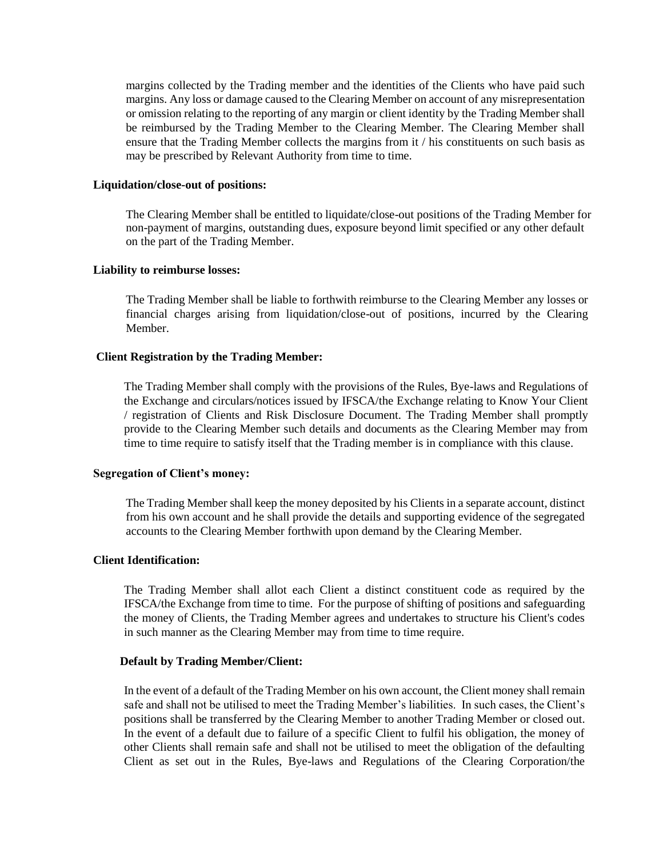margins collected by the Trading member and the identities of the Clients who have paid such margins. Any loss or damage caused to the Clearing Member on account of any misrepresentation or omission relating to the reporting of any margin or client identity by the Trading Member shall be reimbursed by the Trading Member to the Clearing Member. The Clearing Member shall ensure that the Trading Member collects the margins from it / his constituents on such basis as may be prescribed by Relevant Authority from time to time.

#### **Liquidation/close-out of positions:**

The Clearing Member shall be entitled to liquidate/close-out positions of the Trading Member for non-payment of margins, outstanding dues, exposure beyond limit specified or any other default on the part of the Trading Member.

#### **Liability to reimburse losses:**

The Trading Member shall be liable to forthwith reimburse to the Clearing Member any losses or financial charges arising from liquidation/close-out of positions, incurred by the Clearing Member.

#### **Client Registration by the Trading Member:**

The Trading Member shall comply with the provisions of the Rules, Bye-laws and Regulations of the Exchange and circulars/notices issued by IFSCA/the Exchange relating to Know Your Client / registration of Clients and Risk Disclosure Document. The Trading Member shall promptly provide to the Clearing Member such details and documents as the Clearing Member may from time to time require to satisfy itself that the Trading member is in compliance with this clause.

#### **Segregation of Client's money:**

The Trading Member shall keep the money deposited by his Clients in a separate account, distinct from his own account and he shall provide the details and supporting evidence of the segregated accounts to the Clearing Member forthwith upon demand by the Clearing Member.

### **Client Identification:**

The Trading Member shall allot each Client a distinct constituent code as required by the IFSCA/the Exchange from time to time. For the purpose of shifting of positions and safeguarding the money of Clients, the Trading Member agrees and undertakes to structure his Client's codes in such manner as the Clearing Member may from time to time require.

## **Default by Trading Member/Client:**

In the event of a default of the Trading Member on his own account, the Client money shall remain safe and shall not be utilised to meet the Trading Member's liabilities. In such cases, the Client's positions shall be transferred by the Clearing Member to another Trading Member or closed out. In the event of a default due to failure of a specific Client to fulfil his obligation, the money of other Clients shall remain safe and shall not be utilised to meet the obligation of the defaulting Client as set out in the Rules, Bye-laws and Regulations of the Clearing Corporation/the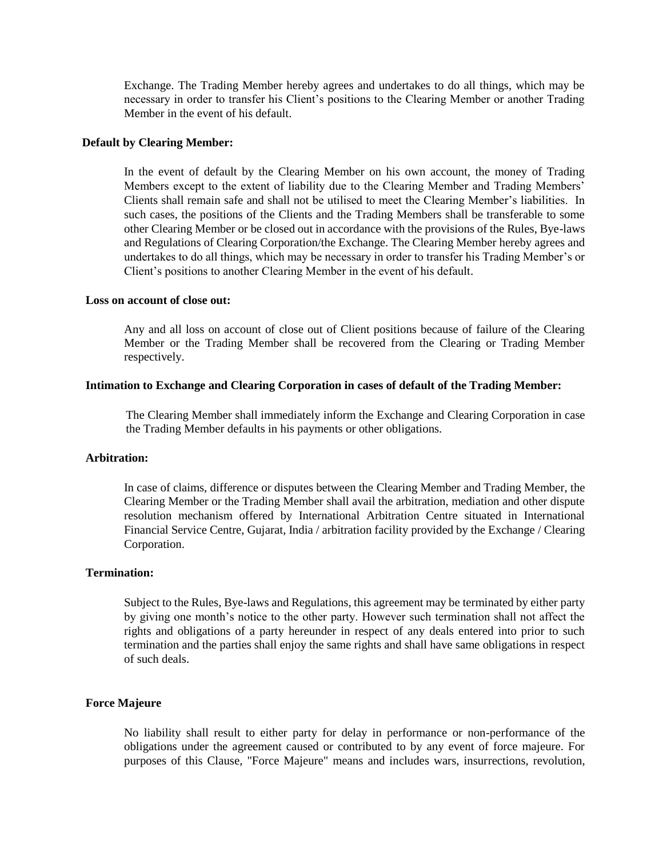Exchange. The Trading Member hereby agrees and undertakes to do all things, which may be necessary in order to transfer his Client's positions to the Clearing Member or another Trading Member in the event of his default.

## **Default by Clearing Member:**

In the event of default by the Clearing Member on his own account, the money of Trading Members except to the extent of liability due to the Clearing Member and Trading Members' Clients shall remain safe and shall not be utilised to meet the Clearing Member's liabilities. In such cases, the positions of the Clients and the Trading Members shall be transferable to some other Clearing Member or be closed out in accordance with the provisions of the Rules, Bye-laws and Regulations of Clearing Corporation/the Exchange. The Clearing Member hereby agrees and undertakes to do all things, which may be necessary in order to transfer his Trading Member's or Client's positions to another Clearing Member in the event of his default.

#### **Loss on account of close out:**

Any and all loss on account of close out of Client positions because of failure of the Clearing Member or the Trading Member shall be recovered from the Clearing or Trading Member respectively.

#### **Intimation to Exchange and Clearing Corporation in cases of default of the Trading Member:**

The Clearing Member shall immediately inform the Exchange and Clearing Corporation in case the Trading Member defaults in his payments or other obligations.

## **Arbitration:**

In case of claims, difference or disputes between the Clearing Member and Trading Member, the Clearing Member or the Trading Member shall avail the arbitration, mediation and other dispute resolution mechanism offered by International Arbitration Centre situated in International Financial Service Centre, Gujarat, India / arbitration facility provided by the Exchange / Clearing Corporation.

### **Termination:**

Subject to the Rules, Bye-laws and Regulations, this agreement may be terminated by either party by giving one month's notice to the other party. However such termination shall not affect the rights and obligations of a party hereunder in respect of any deals entered into prior to such termination and the parties shall enjoy the same rights and shall have same obligations in respect of such deals.

#### **Force Majeure**

No liability shall result to either party for delay in performance or non-performance of the obligations under the agreement caused or contributed to by any event of force majeure. For purposes of this Clause, "Force Majeure" means and includes wars, insurrections, revolution,